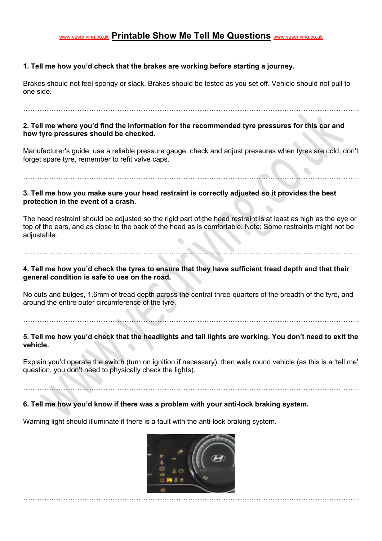# www.yesdriving.co.uk **Printable Show Me Tell Me Questions** www.yesdriving.co.uk

### **1. Tell me how you'd check that the brakes are working before starting a journey.**

Brakes should not feel spongy or slack. Brakes should be tested as you set off. Vehicle should not pull to one side.

……………………………………………………………………………………………………………………………..

**2. Tell me where you'd find the information for the recommended tyre pressures for this car and how tyre pressures should be checked.**

Manufacturer's guide, use a reliable pressure gauge, check and adjust pressures when tyres are cold, don't forget spare tyre, remember to refit valve caps.

#### **3. Tell me how you make sure your head restraint is correctly adjusted so it provides the best protection in the event of a crash.**

……………………………………………………………………………………………………………………………..

The head restraint should be adjusted so the rigid part of the head restraint is at least as high as the eye or top of the ears, and as close to the back of the head as is comfortable. Note: Some restraints might not be adjustable.

……………………………………………………………………………………………………………………………..

**4. Tell me how you'd check the tyres to ensure that they have sufficient tread depth and that their general condition is safe to use on the road.**

No cuts and bulges, 1.6mm of tread depth across the central three-quarters of the breadth of the tyre, and around the entire outer circumference of the tyre.

……………………………………………………………………………………………………………………………..

**5. Tell me how you'd check that the headlights and tail lights are working. You don't need to exit the vehicle.**

Explain you'd operate the switch (turn on ignition if necessary), then walk round vehicle (as this is a 'tell me' question, you don't need to physically check the lights).

……………………………………………………………………………………………………………………………..

### **6. Tell me how you'd know if there was a problem with your anti-lock braking system.**

Warning light should illuminate if there is a fault with the anti-lock braking system.

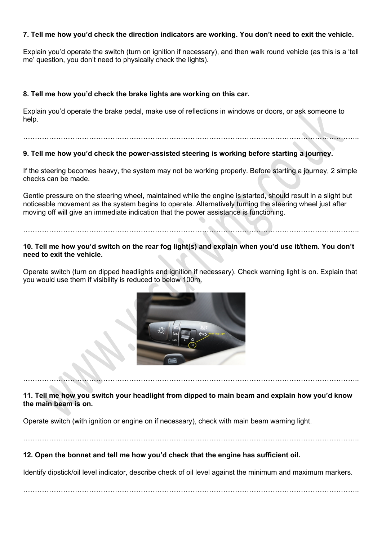### **7. Tell me how you'd check the direction indicators are working. You don't need to exit the vehicle.**

Explain you'd operate the switch (turn on ignition if necessary), and then walk round vehicle (as this is a 'tell me' question, you don't need to physically check the lights).

### **8. Tell me how you'd check the brake lights are working on this car.**

……………………………………………………………………………………………………………………………..

Explain you'd operate the brake pedal, make use of reflections in windows or doors, or ask someone to help.

# **9. Tell me how you'd check the power-assisted steering is working before starting a journey.**

If the steering becomes heavy, the system may not be working properly. Before starting a journey, 2 simple

checks can be made.

Gentle pressure on the steering wheel, maintained while the engine is started, should result in a slight but noticeable movement as the system begins to operate. Alternatively turning the steering wheel just after moving off will give an immediate indication that the power assistance is functioning.

### **10. Tell me how you'd switch on the rear fog light(s) and explain when you'd use it/them. You don't need to exit the vehicle.**

……………………………………………………………………………………………………………………………..

Operate switch (turn on dipped headlights and ignition if necessary). Check warning light is on. Explain that you would use them if visibility is reduced to below 100m.



**11. Tell me how you switch your headlight from dipped to main beam and explain how you'd know the main beam is on.**

……………………………………………………………………………………………………………………………..

Operate switch (with ignition or engine on if necessary), check with main beam warning light.

## **12. Open the bonnet and tell me how you'd check that the engine has sufficient oil.**

Identify dipstick/oil level indicator, describe check of oil level against the minimum and maximum markers.

……………………………………………………………………………………………………………………………..

……………………………………………………………………………………………………………………………..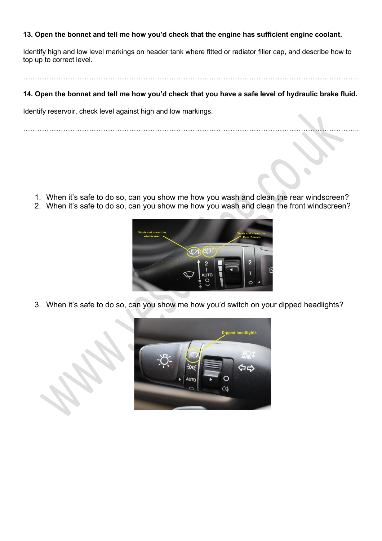### **13. Open the bonnet and tell me how you'd check that the engine has sufficient engine coolant.**

Identify high and low level markings on header tank where fitted or radiator filler cap, and describe how to top up to correct level.

……………………………………………………………………………………………………………………………..

### **14. Open the bonnet and tell me how you'd check that you have a safe level of hydraulic brake fluid.**

Identify reservoir, check level against high and low markings.

……………………………………………………………………………………………………………………………..

- 1. When it's safe to do so, can you show me how you wash and clean the rear windscreen?
- 2. When it's safe to do so, can you show me how you wash and clean the front windscreen?



3. When it's safe to do so, can you show me how you'd switch on your dipped headlights?